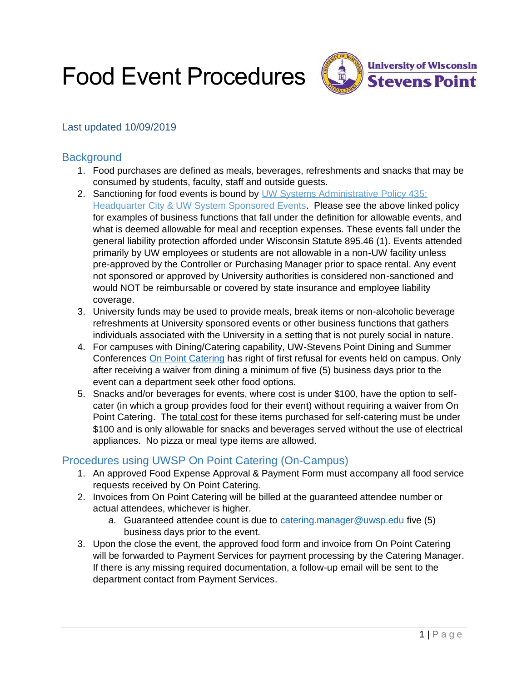Food Event Procedures



### Last updated 10/09/2019

### **Background**

- 1. Food purchases are defined as meals, beverages, refreshments and snacks that may be consumed by students, faculty, staff and outside guests.
- 2. Sanctioning for food events is bound by UW Systems Administrative Policy 435: [Headquarter City & UW System Sponsored Events.](https://www.wisconsin.edu/uw-policies/uw-system-administrative-policies/headquarter-city-uw-system-sponsored-events-policy/) Please see the above linked policy for examples of business functions that fall under the definition for allowable events, and what is deemed allowable for meal and reception expenses. These events fall under the general liability protection afforded under Wisconsin Statute 895.46 (1). Events attended primarily by UW employees or students are not allowable in a non-UW facility unless pre-approved by the Controller or Purchasing Manager prior to space rental. Any event not sponsored or approved by University authorities is considered non-sanctioned and would NOT be reimbursable or covered by state insurance and employee liability coverage.
- 3. University funds may be used to provide meals, break items or non-alcoholic beverage refreshments at University sponsored events or other business functions that gathers individuals associated with the University in a setting that is not purely social in nature.
- 4. For campuses with Dining/Catering capability, UW-Stevens Point Dining and Summer Conferences [On Point Catering](https://www.uwsp.edu/dining/OnPointCatering/Pages/policies.aspx) has right of first refusal for events held on campus. Only after receiving a waiver from dining a minimum of five (5) business days prior to the event can a department seek other food options.
- 5. Snacks and/or beverages for events, where cost is under \$100, have the option to selfcater (in which a group provides food for their event) without requiring a waiver from On Point Catering. The total cost for these items purchased for self-catering must be under \$100 and is only allowable for snacks and beverages served without the use of electrical appliances. No pizza or meal type items are allowed.

## Procedures using UWSP On Point Catering (On-Campus)

- 1. An approved Food Expense Approval & Payment Form must accompany all food service requests received by On Point Catering.
- 2. Invoices from On Point Catering will be billed at the guaranteed attendee number or actual attendees, whichever is higher.
	- *a.* Guaranteed attendee count is due to [catering.manager@uwsp.edu](mailto:catering.manager@uwsp.edu) five (5) business days prior to the event.
- 3. Upon the close the event, the approved food form and invoice from On Point Catering will be forwarded to Payment Services for payment processing by the Catering Manager. If there is any missing required documentation, a follow-up email will be sent to the department contact from Payment Services.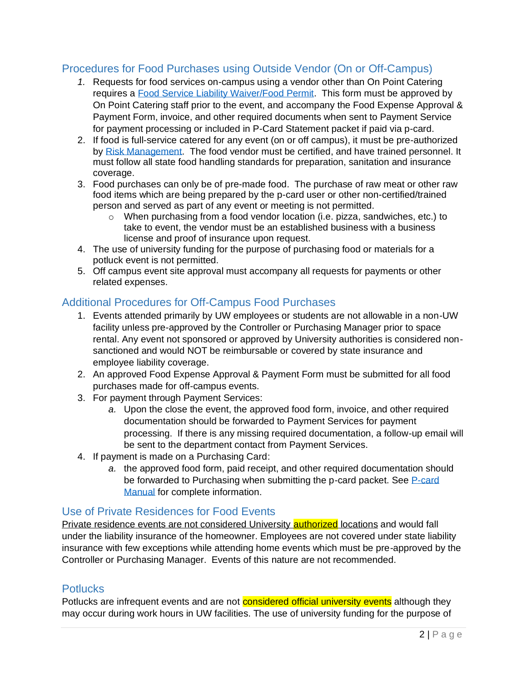### Procedures for Food Purchases using Outside Vendor (On or Off-Campus)

- *1.* Requests for food services on-campus using a vendor other than On Point Catering requires a [Food Service Liability Waiver/Food Permit.](https://www.uwsp.edu/dining/OnPointCatering/Pages/food-permit.aspx) This form must be approved by On Point Catering staff prior to the event, and accompany the Food Expense Approval & Payment Form, invoice, and other required documents when sent to Payment Service for payment processing or included in P-Card Statement packet if paid via p-card.
- 2. If food is full-service catered for any event (on or off campus), it must be pre-authorized by [Risk Management.](https://www.uwsp.edu/rmgt/Pages/default.aspx) The food vendor must be certified, and have trained personnel. It must follow all state food handling standards for preparation, sanitation and insurance coverage.
- 3. Food purchases can only be of pre-made food. The purchase of raw meat or other raw food items which are being prepared by the p-card user or other non-certified/trained person and served as part of any event or meeting is not permitted.
	- o When purchasing from a food vendor location (i.e. pizza, sandwiches, etc.) to take to event, the vendor must be an established business with a business license and proof of insurance upon request.
- 4. The use of university funding for the purpose of purchasing food or materials for a potluck event is not permitted.
- 5. Off campus event site approval must accompany all requests for payments or other related expenses.

## Additional Procedures for Off-Campus Food Purchases

- 1. Events attended primarily by UW employees or students are not allowable in a non-UW facility unless pre-approved by the Controller or Purchasing Manager prior to space rental. Any event not sponsored or approved by University authorities is considered nonsanctioned and would NOT be reimbursable or covered by state insurance and employee liability coverage.
- 2. An approved Food Expense Approval & Payment Form must be submitted for all food purchases made for off-campus events.
- 3. For payment through Payment Services:
	- *a.* Upon the close the event, the approved food form, invoice, and other required documentation should be forwarded to Payment Services for payment processing. If there is any missing required documentation, a follow-up email will be sent to the department contact from Payment Services.
- 4. If payment is made on a Purchasing Card:
	- *a.* the approved food form, paid receipt, and other required documentation should be forwarded to Purchasing when submitting the p-card packet. See P-card [Manual](https://campus.uwsp.edu/sites/purchasing/campus/Shared%20Documents/Purchasing%20Card%20Program%20User%20Manual.pdf) for complete information.

### Use of Private Residences for Food Events

Private residence events are not considered University **authorized** locations and would fall under the liability insurance of the homeowner. Employees are not covered under state liability insurance with few exceptions while attending home events which must be pre-approved by the Controller or Purchasing Manager. Events of this nature are not recommended.

### Potlucks

Potlucks are infrequent events and are not **considered official university events** although they may occur during work hours in UW facilities. The use of university funding for the purpose of